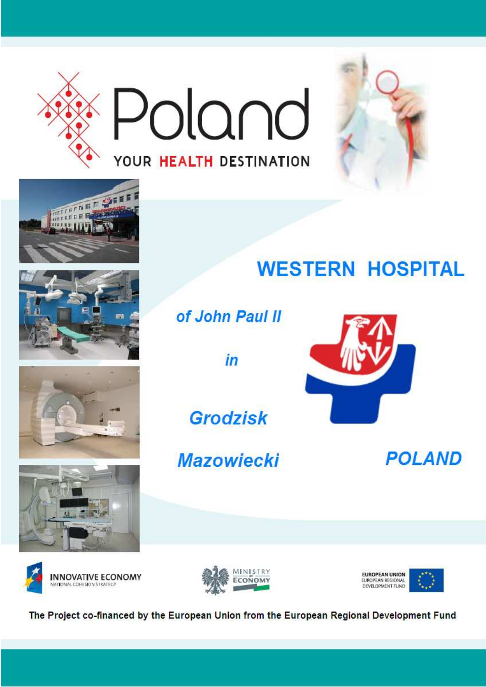















The Project co-financed by the European Union from the European Regional Development Fund

# **WESTERN HOSPITAL**



 $in$ 

**Grodzisk** 

**Mazowiecki** 

**POLAND**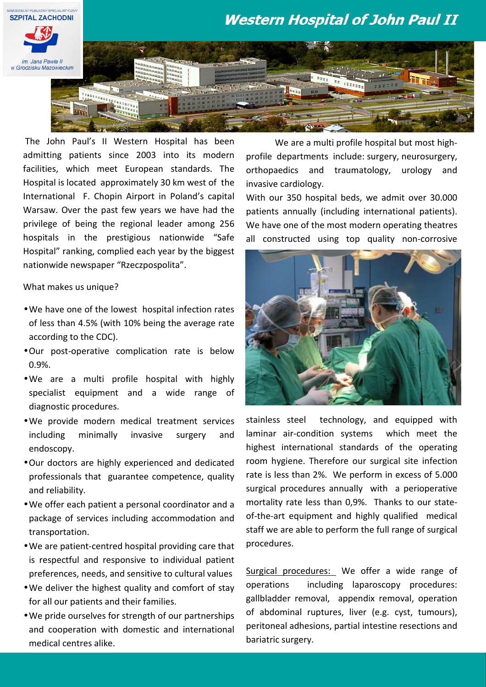

The John Paul's II Western Hospital has been admitting patients since 2003 into its modern facilities, which meet European standards. The Hospital is located approximately 30 km west of the International F. Chopin Airport in Poland's capital Warsaw. Over the past few years we have had the privilege of being the regional leader among 256 hospitals in the prestigious nationwide "Safe Hospital" ranking, complied each year by the biggest nationwide newspaper "Rzeczpospolita".

What makes us unique?

- •We have one of the lowest hospital infection rates of less than 4.5% (with 10% being the average rate according to the CDC).
- •Our post-operative complication rate is below 0.9%.
- •We are a multi profile hospital with highly specialist equipment and a wide range of diagnostic procedures.
- •We provide modern medical treatment services including minimally invasive surgery and endoscopy.
- •Our doctors are highly experienced and dedicated professionals that guarantee competence, quality and reliability.
- •We offer each patient a personal coordinator and a package of services including accommodation and transportation.
- •We are patient-centred hospital providing care that is respectful and responsive to individual patient preferences, needs, and sensitive to cultural values
- •We deliver the highest quality and comfort of stay for all our patients and their families.
- •We pride ourselves for strength of our partnerships and cooperation with domestic and international medical centres alike.

 We are a multi profile hospital but most highprofile departments include: surgery, neurosurgery, orthopaedics and traumatology, urology and invasive cardiology.

With our 350 hospital beds, we admit over 30.000 patients annually (including international patients). We have one of the most modern operating theatres all constructed using top quality non-corrosive



stainless steel technology, and equipped with laminar air-condition systems which meet the highest international standards of the operating room hygiene. Therefore our surgical site infection rate is less than 2%. We perform in excess of 5.000 surgical procedures annually with a perioperative mortality rate less than 0,9%. Thanks to our stateof-the-art equipment and highly qualified medical staff we are able to perform the full range of surgical procedures.

Surgical procedures: We offer a wide range of operations including laparoscopy procedures: gallbladder removal, appendix removal, operation of abdominal ruptures, liver (e.g. cyst, tumours), peritoneal adhesions, partial intestine resections and bariatric surgery.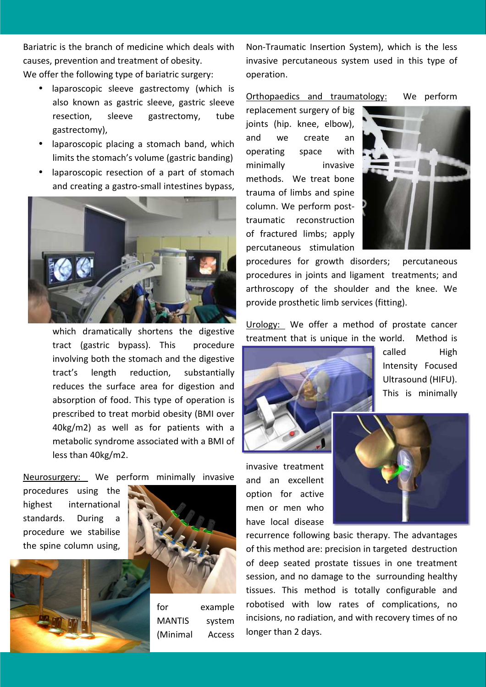Bariatric is the branch of medicine which deals with causes, prevention and treatment of obesity. We offer the following type of bariatric surgery:

- laparoscopic sleeve gastrectomy (which is also known as gastric sleeve, gastric sleeve resection, sleeve gastrectomy, tube gastrectomy),
- laparoscopic placing a stomach band, which limits the stomach's volume (gastric banding)
- laparoscopic resection of a part of stomach and creating a gastro-small intestines bypass,



which dramatically shortens the digestive tract (gastric bypass). This procedure involving both the stomach and the digestive tract's length reduction, substantially reduces the surface area for digestion and absorption of food. This type of operation is prescribed to treat morbid obesity (BMI over 40kg/m2) as well as for patients with a metabolic syndrome associated with a BMI of less than 40kg/m2.

Neurosurgery: We perform minimally invasive

procedures using the highest international standards. During a procedure we stabilise the spine column using,



for example MANTIS system (Minimal Access

Non-Traumatic Insertion System), which is the less invasive percutaneous system used in this type of operation.

Orthopaedics and traumatology: We perform

replacement surgery of big joints (hip. knee, elbow), and we create an operating space with minimally invasive methods. We treat bone trauma of limbs and spine column. We perform posttraumatic reconstruction of fractured limbs; apply percutaneous stimulation



procedures for growth disorders; percutaneous procedures in joints and ligament treatments; and arthroscopy of the shoulder and the knee. We provide prosthetic limb services (fitting).

Urology: We offer a method of prostate cancer treatment that is unique in the world. Method is



called High Intensity Focused Ultrasound (HIFU). This is minimally

invasive treatment and an excellent option for active men or men who have local disease



recurrence following basic therapy. The advantages of this method are: precision in targeted destruction of deep seated prostate tissues in one treatment session, and no damage to the surrounding healthy tissues. This method is totally configurable and robotised with low rates of complications, no incisions, no radiation, and with recovery times of no longer than 2 days.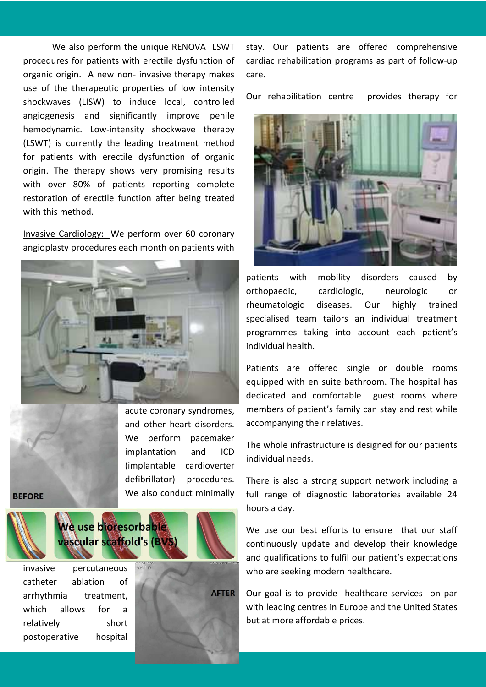We also perform the unique RENOVA LSWT procedures for patients with erectile dysfunction of organic origin. A new non- invasive therapy makes use of the therapeutic properties of low intensity shockwaves (LISW) to induce local, controlled angiogenesis and significantly improve penile hemodynamic. Low-intensity shockwave therapy (LSWT) is currently the leading treatment method for patients with erectile dysfunction of organic origin. The therapy shows very promising results with over 80% of patients reporting complete restoration of erectile function after being treated with this method.

Invasive Cardiology: We perform over 60 coronary angioplasty procedures each month on patients with



acute coronary syndromes, and other heart disorders. We perform pacemaker implantation and ICD (implantable cardioverter defibrillator) procedures. We also conduct minimally

#### **BEFORE**



invasive percutaneous catheter ablation of arrhythmia treatment, which allows for a relatively short postoperative hospital



stay. Our patients are offered comprehensive cardiac rehabilitation programs as part of follow-up care.

Our rehabilitation centre provides therapy for



patients with mobility disorders caused by orthopaedic, cardiologic, neurologic or rheumatologic diseases. Our highly trained specialised team tailors an individual treatment programmes taking into account each patient's individual health.

Patients are offered single or double rooms equipped with en suite bathroom. The hospital has dedicated and comfortable guest rooms where members of patient's family can stay and rest while accompanying their relatives.

The whole infrastructure is designed for our patients individual needs.

There is also a strong support network including a full range of diagnostic laboratories available 24 hours a day.

We use our best efforts to ensure that our staff continuously update and develop their knowledge and qualifications to fulfil our patient's expectations who are seeking modern healthcare.

Our goal is to provide healthcare services on par with leading centres in Europe and the United States but at more affordable prices.